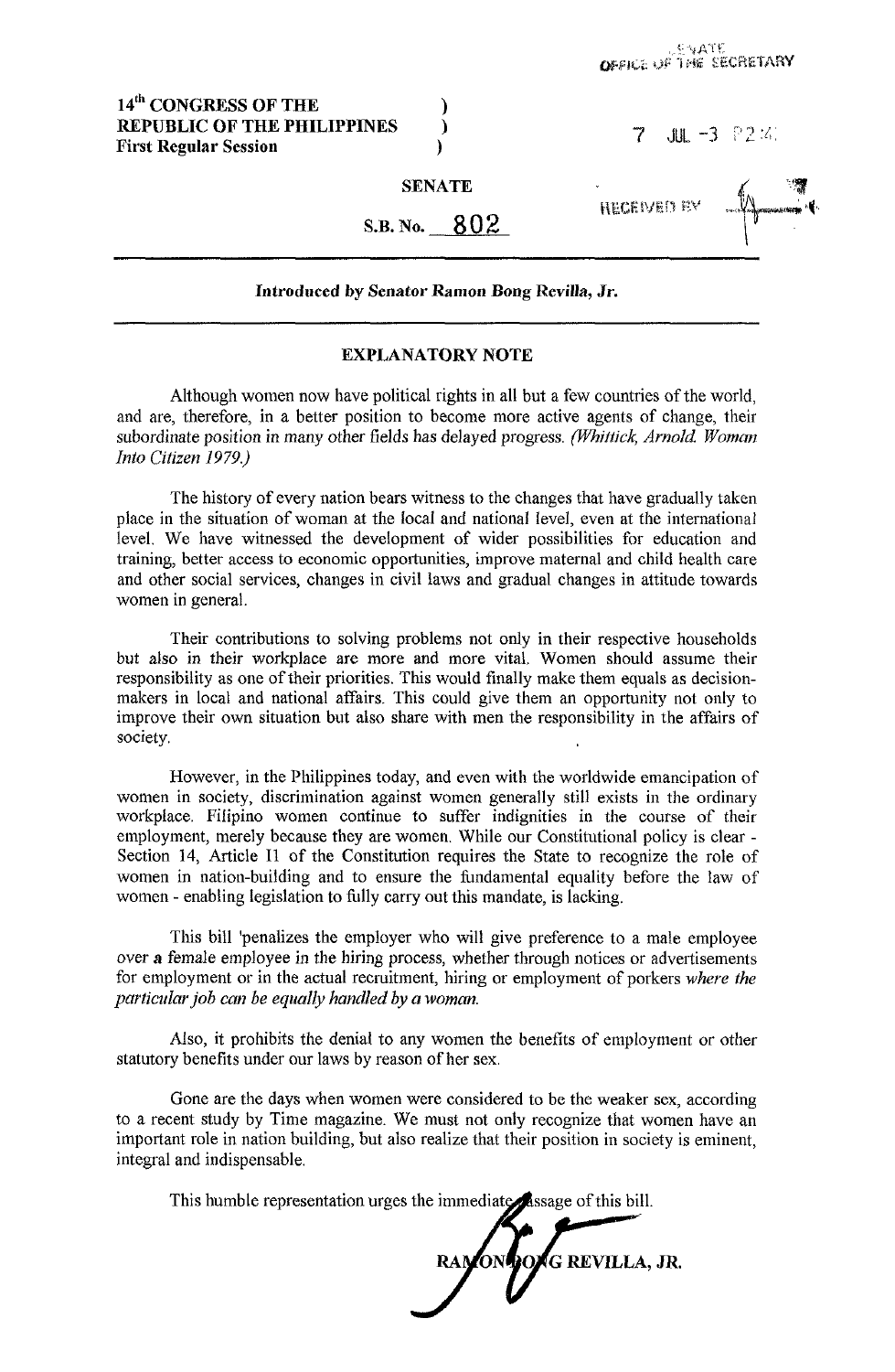## 14<sup>th</sup> CONGRESS OF THE **REPUBLIC OF THE PHILIPPINES First Regular Session**

| 유2 21<br>7<br><b>JUL</b><br>-3 |  |  |
|--------------------------------|--|--|
|--------------------------------|--|--|

**HECEWED IN** 

**SENATE** 

802 **S.B. No.** 

## **Introduced by Senator Ramon Bong Revilla, Jr.**

## **EXPLANATORY NOTE**

Although women now have political rights in all but a few countries of the world, and are, therefore, in a better position to become more active agents of change, their subordinate position in many other fields has delayed progress. *(whittick, Arnold Woman Into Citizen 1979.)* 

The history of every nation bears witness to the changes that have gradually taken place in the situation of woman at the local and national level, even at the international level. We have witnessed the development of wider possibilities for education and training, better access to economic opportunities, improve maternal and child health care and other social services, changes in civil laws and gradual changes in attitude towards women in general.

Their contributions to solving problems not only in their respective households but also in their workplace are more and more vital. Women should assume their responsibility as one of their priorities. This would finally make them equals as decisionmakers in local and national affairs. This could give them an opportunity not only to improve their own situation but also share with men the responsibility in the affairs of society.

However, in the Philippines today, and even with the worldwide emancipation of women in society, discrimination against women generally still exists in the ordinary workplace. Filipino women continue to suffer indignities in the course of their employment, merely because they are women. While our Constitutional policy is clear - Section 14, Article I1 of the Constitution requires the State to recognize the role of women in nation-building and to ensure the fundamental equality before the law of women - enabling legislation to fully carry out this mandate, is lacking.

This bill 'penalizes the employer who will give preference to a male employee over **a** female employee in the hiring process, whether through notices or advertisements for employment or in the actual recruitment, hiring or employment of porkers *where the particular job can be equally handled by a woman.* 

Also, it prohibits the denial to any women the benefits of employment or other statutory benefits under our laws by reason of her sex.

Gone are the days when women were considered to be the weaker **sex,** according to a recent study by Time magazine. We must not only recognize that women have an important role in nation building, but also realize that their position in society is eminent, integral and indispensable.

This humble representation urges the immediate assage of this bill.

**POAG REVILLA, JR.**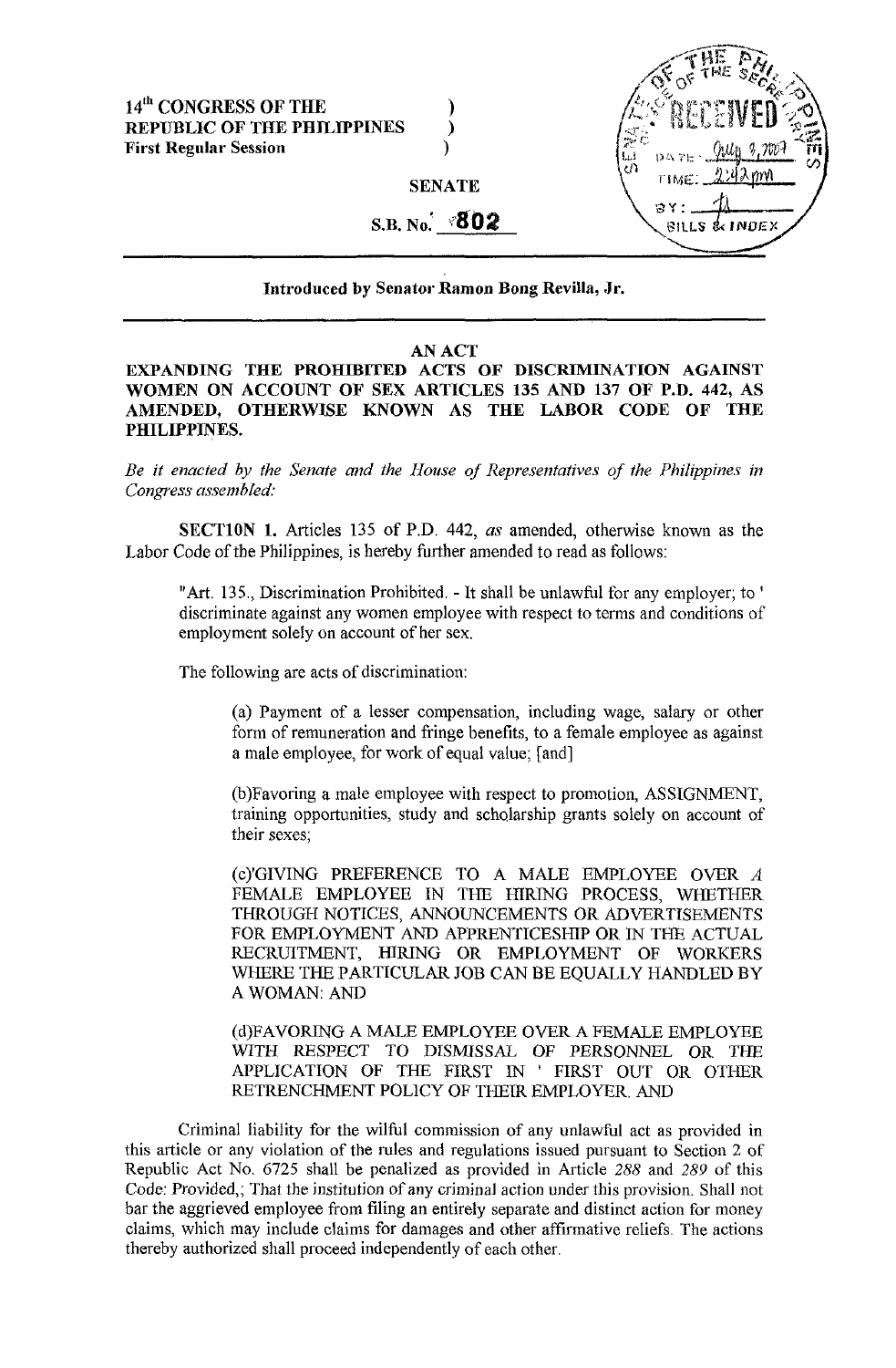## **14'" CONGRESS OF THE** ) **REPUBLIC OF THE PHILIPPINES** ) **First Regular Session** )

**SENATE** 

# S.B. No. **802**

SILLS & INDEX

**Introduced by Senator Ramon Bong Revilla, Jr.** 

## **AN ACT**

**EXPANDING THE PROHIBITED ACTS OF DISCRIMINATION AGAINST WOMEN ON ACCOUNT OF SEX ARTICLES 135 AND 137 OF P.D. 442, AS AMENDED, OTHERWISE KNOWN AS THE LABOR CODE OF THE PHILIPPINES.** 

*Be it enacted by the Senate and the House of Representatives of the Philippines in Congress assenihIed:* 

**SECTlON 1.** Articles 135 of P.D. 442, *as* amended, otherwise known as the Labor Code of the Philippines, is hereby further amended to read as follows:

"Art. 135., Discrimination Prohibited. - It shall be unlawful for any employer; to ' discriminate against any women employee with respect to terms and conditions of employment solely on account of her sex.

The following are acts of discrimination:

(a) Payment of a lesser compensation, including wage, salary or other form of remuneration and fringe benefits, to a female employee as against a male employee, for work of equal value; [and]

(b)Favoring a male employee with respect to promotion, ASSIGNMENT, training opportunities, study and schQlarship grants solely on account of their sexes;

(c)'GIVING PREFERENCE TO A MALE EMPLOYEE OVER *A*  FEMALE EMPLOYEE IN THE HIRING PROCESS, WHETHER THROUGH NOTICES, ANNOUNCEMENTS OR ADVERTISEMENTS FOR EMPLOYMENT AND APPRENTICESHIP OR IN THE ACTUAL RECRUITMENT, HIRING OR EMPLOYMENT OF WORKERS WHERE THE PARTICULAR JOB CAN BE EQUALLY HANDLED BY A WOMAN: AND

(d)FAVORING **A** MALE EMPLOYEE OVER A FEMALE EMPLOYEE WITH RESPECT TO DISMISSAL OF PERSONNEL OR THE APPLICATION OF THE FIRST IN ' FIRST OUT OR OTHER RETRENCHMENT POLICY OF THEIR EMPLOYER. AND

Criminal liability for the wilful commission of any unlawful act as provided in this article or any violation of the rules and regulations issued pursuant to Section 2 of Republic Act No. 6725 shall be penalized as provided in Article 288 and 289 of this Code: Provided,; That the institution of any criminal action under this provision. Shall not bar the aggrieved employee from filing an entirely separate and distinct action for money claims, which may include claims for damages and other affirmative reliefs. The actions thereby authorized shall proceed independently of each other.